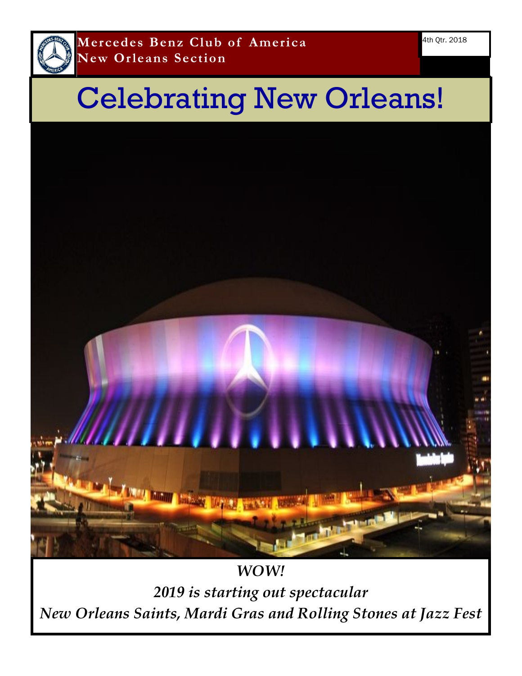

# Celebrating New Orleans!



*2019 is starting out spectacular New Orleans Saints, Mardi Gras and Rolling Stones at Jazz Fest*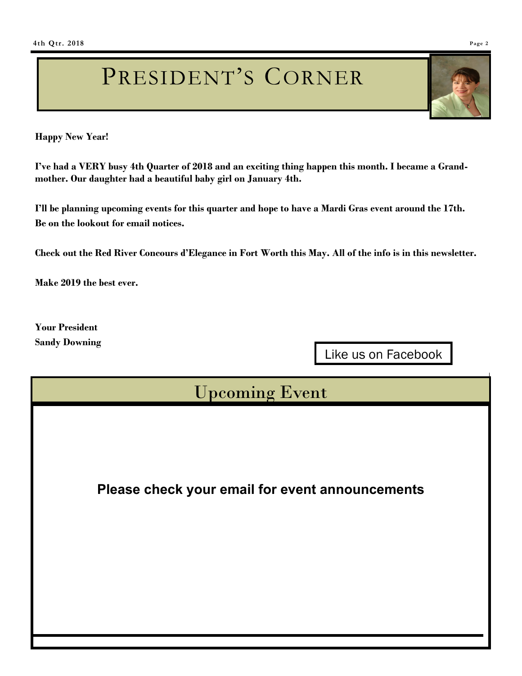# PRESIDENT'S CORNER

**Happy New Year!**

**I've had a VERY busy 4th Quarter of 2018 and an exciting thing happen this month. I became a Grandmother. Our daughter had a beautiful baby girl on January 4th.** 

**I'll be planning upcoming events for this quarter and hope to have a Mardi Gras event around the 17th. Be on the lookout for email notices.**

**Check out the Red River Concours d'Elegance in Fort Worth this May. All of the info is in this newsletter.**

**Make 2019 the best ever.** 

**Your President Sandy Downing**

Like us on Facebook

# Upcoming Event

**Please check your email for event announcements**

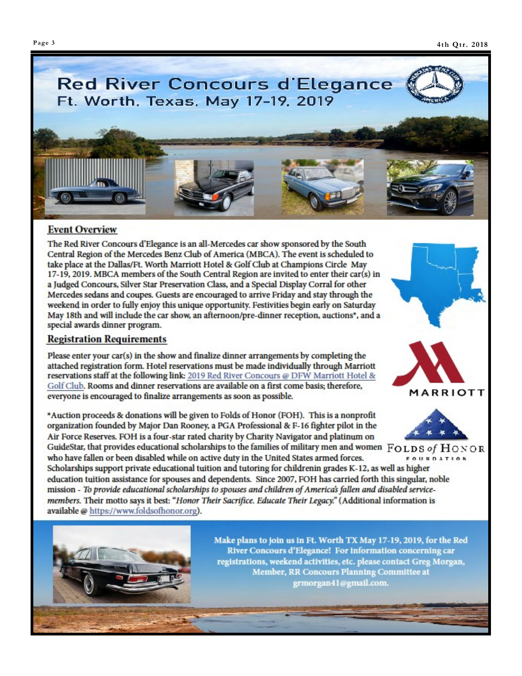

### **Event Overview**

The Red River Concours d'Elegance is an all-Mercedes car show sponsored by the South Central Region of the Mercedes Benz Club of America (MBCA). The event is scheduled to take place at the Dallas/Ft. Worth Marriott Hotel & Golf Club at Champions Circle May 17-19, 2019. MBCA members of the South Central Region are invited to enter their car(s) in a Judged Concours, Silver Star Preservation Class, and a Special Display Corral for other Mercedes sedans and coupes. Guests are encouraged to arrive Friday and stay through the weekend in order to fully enjoy this unique opportunity. Festivities begin early on Saturday May 18th and will include the car show, an afternoon/pre-dinner reception, auctions\*, and a special awards dinner program.

### **Registration Requirements**

Please enter your car(s) in the show and finalize dinner arrangements by completing the attached registration form. Hotel reservations must be made individually through Marriott reservations staff at the following link: 2019 Red River Concours @ DFW Marriott Hotel & Golf Club. Rooms and dinner reservations are available on a first come basis; therefore, everyone is encouraged to finalize arrangements as soon as possible.

\*Auction proceeds & donations will be given to Folds of Honor (FOH). This is a nonprofit organization founded by Major Dan Rooney, a PGA Professional & F-16 fighter pilot in the Air Force Reserves. FOH is a four-star rated charity by Charity Navigator and platinum on

GuideStar, that provides educational scholarships to the families of military men and women FOLDS of HONOR who have fallen or been disabled while on active duty in the United States armed forces. **FOUNDATION** Scholarships support private educational tuition and tutoring for childrenin grades K-12, as well as higher

education tuition assistance for spouses and dependents. Since 2007, FOH has carried forth this singular, noble mission - To provide educational scholarships to spouses and children of America's fallen and disabled servicemembers. Their motto says it best: "Honor Their Sacrifice. Educate Their Legacy." (Additional information is available @ https://www.foldsofhonor.org).





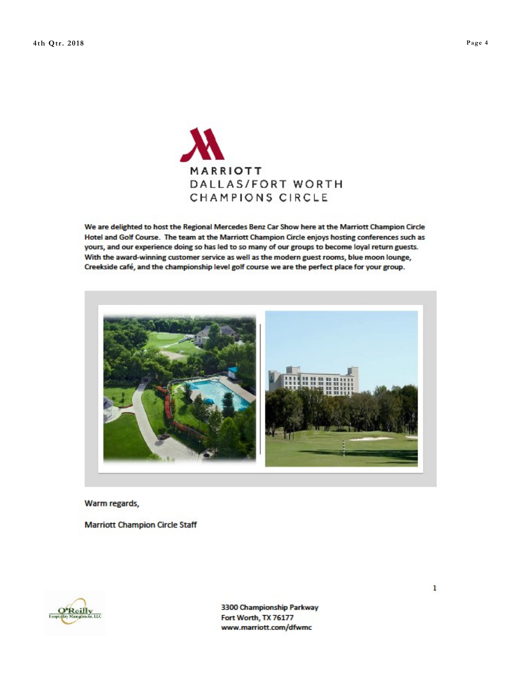

We are delighted to host the Regional Mercedes Benz Car Show here at the Marriott Champion Circle Hotel and Golf Course. The team at the Marriott Champion Circle enjoys hosting conferences such as yours, and our experience doing so has led to so many of our groups to become loyal return guests. With the award-winning customer service as well as the modern guest rooms, blue moon lounge, Creekside café, and the championship level golf course we are the perfect place for your group.



### Warm regards,

**Marriott Champion Circle Staff** 



3300 Championship Parkway Fort Worth, TX 76177 www.marriott.com/dfwmc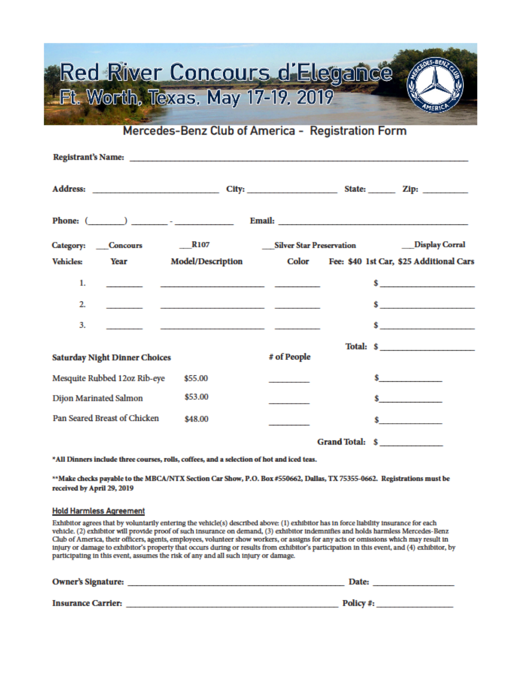# Red River Concours d'Elegance Ft. Worth, Texas. May 17-19, 2019

Mercedes-Benz Club of America - Registration Form

| <b>Vehicles:</b>                        | Year                         | <b>Model/Description</b> |             | Color Fee: \$40 1st Car, \$25 Additional Cars |
|-----------------------------------------|------------------------------|--------------------------|-------------|-----------------------------------------------|
| 1.                                      |                              |                          |             | $\sim$                                        |
| 2.                                      |                              |                          |             |                                               |
| 3.                                      |                              |                          |             | $\sim$                                        |
|                                         |                              |                          |             | Total: \$                                     |
| <b>Saturday Night Dinner Choices</b>    |                              |                          | # of People |                                               |
|                                         | Mesquite Rubbed 12oz Rib-eye | \$55.00                  |             | $\sim$ $\sim$                                 |
| Dijon Marinated Salmon                  |                              | \$53.00                  |             | $\sim$                                        |
| Pan Seared Breast of Chicken<br>\$48.00 |                              |                          |             | $\sim$                                        |
|                                         |                              |                          |             | Grand Total: \$                               |
|                                         |                              |                          |             |                                               |

\*All Dinners include three courses, rolls, coffees, and a selection of hot and iced teas.

\*\*Make checks payable to the MBCA/NTX Section Car Show, P.O. Box #550662, Dallas, TX 75355-0662. Registrations must be received by April 29, 2019

#### **Hold Harmless Agreement**

Exhibitor agrees that by voluntarily entering the vehicle(s) described above: (1) exhibitor has in force liability insurance for each vehicle. (2) exhibitor will provide proof of such insurance on demand, (3) exhibitor indemnifies and holds harmless Mercedes-Benz Club of America, their officers, agents, employees, volunteer show workers, or assigns for any acts or omissions which may result in injury or damage to exhibitor's property that occurs during or results from exhibitor's participation in this event, and (4) exhibitor, by participating in this event, assumes the risk of any and all such injury or damage.

| <b>Owner's Signature:</b> | Date:    |
|---------------------------|----------|
| <b>Insurance Carrier:</b> | Policy#: |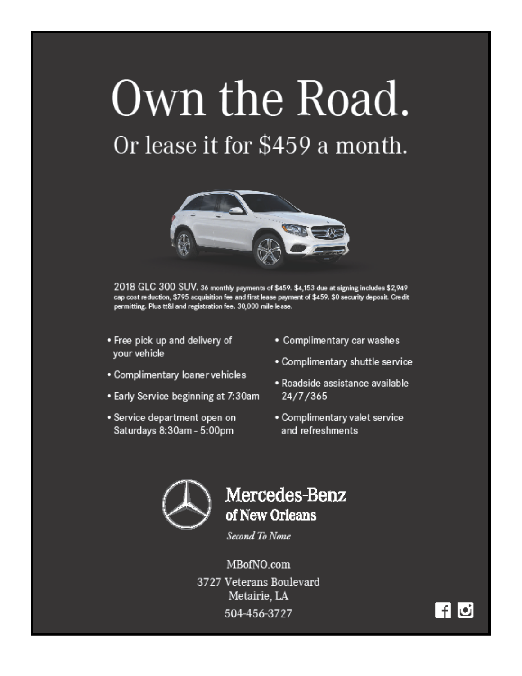# Own the Road.

# Or lease it for \$459 a month.



2018 GLC 300 SUV. 36 monthly payments of \$459. \$4,153 due at signing includes \$2,949 cap cost reduction, \$795 acquisition fee and first lease payment of \$459. \$0 security deposit. Credit permitting. Plus tt&l and registration fee. 30,000 mile lease.

- Free pick up and delivery of your vehicle
- · Complimentary loaner vehicles
- Early Service beginning at 7:30am
- · Service department open on Saturdays 8:30am - 5:00pm
- Complimentary car washes
- Complimentary shuttle service
- · Roadside assistance available 24/7/365
- · Complimentary valet service and refreshments



## Mercedes-Benz of New Orleans

Second To None

MBofNO.com 3727 Veterans Boulevard Metairie, LA 504-456-3727